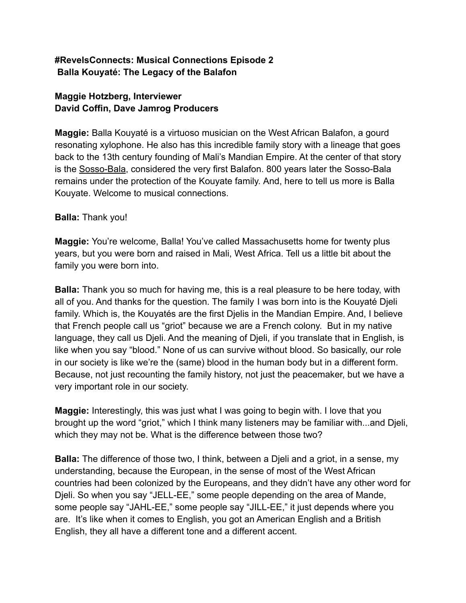## **#RevelsConnects: Musical Connections Episode 2 Balla Kouyaté: The Legacy of the Balafon**

# **Maggie Hotzberg, Interviewer David Coffin, Dave Jamrog Producers**

**Maggie:** Balla Kouyaté is a virtuoso musician on the West African Balafon, a gourd resonating xylophone. He also has this incredible family story with a lineage that goes back to the 13th century founding of Mali's Mandian Empire. At the center of that story is the [Sosso-Bala](https://ich.unesco.org/en/RL/cultural-space-of-sosso-bala-00009), considered the very first Balafon. 800 years later the Sosso-Bala remains under the protection of the Kouyate family. And, here to tell us more is Balla Kouyate. Welcome to musical connections.

## **Balla:** Thank you!

**Maggie:** You're welcome, Balla! You've called Massachusetts home for twenty plus years, but you were born and raised in Mali, West Africa. Tell us a little bit about the family you were born into.

**Balla:** Thank you so much for having me, this is a real pleasure to be here today, with all of you. And thanks for the question. The family I was born into is the Kouyaté Djeli family. Which is, the Kouyatés are the first Djelis in the Mandian Empire. And, I believe that French people call us "griot" because we are a French colony. But in my native language, they call us Djeli. And the meaning of Djeli, if you translate that in English, is like when you say "blood." None of us can survive without blood. So basically, our role in our society is like we're the (same) blood in the human body but in a different form. Because, not just recounting the family history, not just the peacemaker, but we have a very important role in our society.

**Maggie:** Interestingly, this was just what I was going to begin with. I love that you brought up the word "griot," which I think many listeners may be familiar with...and Djeli, which they may not be. What is the difference between those two?

**Balla:** The difference of those two, I think, between a Djeli and a griot, in a sense, my understanding, because the European, in the sense of most of the West African countries had been colonized by the Europeans, and they didn't have any other word for Djeli. So when you say "JELL-EE," some people depending on the area of Mande, some people say "JAHL-EE," some people say "JILL-EE," it just depends where you are. It's like when it comes to English, you got an American English and a British English, they all have a different tone and a different accent.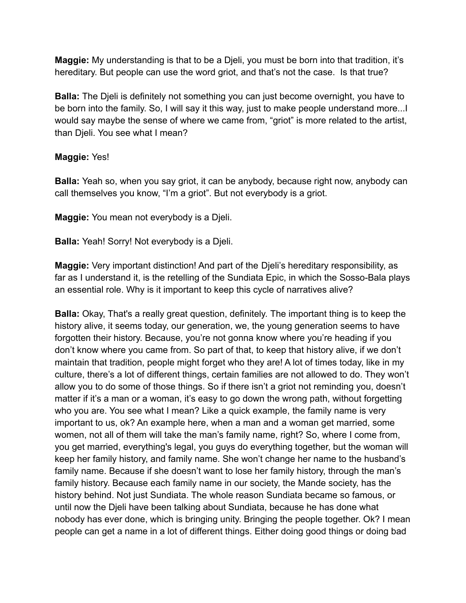**Maggie:** My understanding is that to be a Djeli, you must be born into that tradition, it's hereditary. But people can use the word griot, and that's not the case. Is that true?

**Balla:** The Djeli is definitely not something you can just become overnight, you have to be born into the family. So, I will say it this way, just to make people understand more...I would say maybe the sense of where we came from, "griot" is more related to the artist, than Djeli. You see what I mean?

### **Maggie:** Yes!

**Balla:** Yeah so, when you say griot, it can be anybody, because right now, anybody can call themselves you know, "I'm a griot". But not everybody is a griot.

**Maggie:** You mean not everybody is a Djeli.

**Balla:** Yeah! Sorry! Not everybody is a Djeli.

**Maggie:** Very important distinction! And part of the Djeli's hereditary responsibility, as far as I understand it, is the retelling of the Sundiata Epic, in which the Sosso-Bala plays an essential role. Why is it important to keep this cycle of narratives alive?

**Balla:** Okay, That's a really great question, definitely. The important thing is to keep the history alive, it seems today, our generation, we, the young generation seems to have forgotten their history. Because, you're not gonna know where you're heading if you don't know where you came from. So part of that, to keep that history alive, if we don't maintain that tradition, people might forget who they are! A lot of times today, like in my culture, there's a lot of different things, certain families are not allowed to do. They won't allow you to do some of those things. So if there isn't a griot not reminding you, doesn't matter if it's a man or a woman, it's easy to go down the wrong path, without forgetting who you are. You see what I mean? Like a quick example, the family name is very important to us, ok? An example here, when a man and a woman get married, some women, not all of them will take the man's family name, right? So, where I come from, you get married, everything's legal, you guys do everything together, but the woman will keep her family history, and family name. She won't change her name to the husband's family name. Because if she doesn't want to lose her family history, through the man's family history. Because each family name in our society, the Mande society, has the history behind. Not just Sundiata. The whole reason Sundiata became so famous, or until now the Djeli have been talking about Sundiata, because he has done what nobody has ever done, which is bringing unity. Bringing the people together. Ok? I mean people can get a name in a lot of different things. Either doing good things or doing bad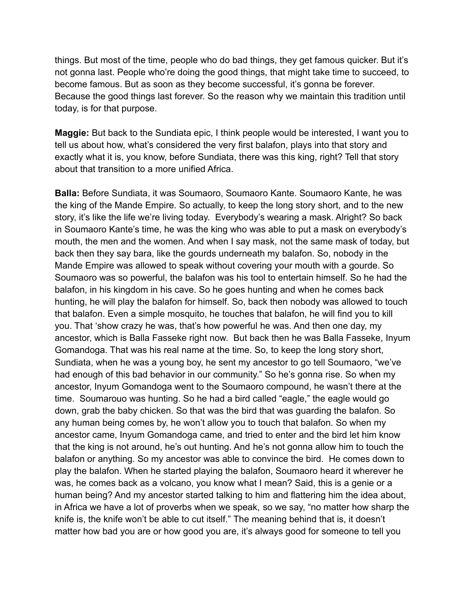things. But most of the time, people who do bad things, they get famous quicker. But it's not gonna last. People who're doing the good things, that might take time to succeed, to become famous. But as soon as they become successful, it's gonna be forever. Because the good things last forever. So the reason why we maintain this tradition until today, is for that purpose.

**Maggie:** But back to the Sundiata epic, I think people would be interested, I want you to tell us about how, what's considered the very first balafon, plays into that story and exactly what it is, you know, before Sundiata, there was this king, right? Tell that story about that transition to a more unified Africa.

**Balla:** Before Sundiata, it was Soumaoro, Soumaoro Kante. Soumaoro Kante, he was the king of the Mande Empire. So actually, to keep the long story short, and to the new story, it's like the life we're living today. Everybody's wearing a mask. Alright? So back in Soumaoro Kante's time, he was the king who was able to put a mask on everybody's mouth, the men and the women. And when I say mask, not the same mask of today, but back then they say bara, like the gourds underneath my balafon. So, nobody in the Mande Empire was allowed to speak without covering your mouth with a gourde. So Soumaoro was so powerful, the balafon was his tool to entertain himself. So he had the balafon, in his kingdom in his cave. So he goes hunting and when he comes back hunting, he will play the balafon for himself. So, back then nobody was allowed to touch that balafon. Even a simple mosquito, he touches that balafon, he will find you to kill you. That 'show crazy he was, that's how powerful he was. And then one day, my ancestor, which is Balla Fasseke right now. But back then he was Balla Fasseke, Inyum Gomandoga. That was his real name at the time. So, to keep the long story short, Sundiata, when he was a young boy, he sent my ancestor to go tell Soumaoro, "we've had enough of this bad behavior in our community." So he's gonna rise. So when my ancestor, Inyum Gomandoga went to the Soumaoro compound, he wasn't there at the time. Soumarouo was hunting. So he had a bird called "eagle," the eagle would go down, grab the baby chicken. So that was the bird that was guarding the balafon. So any human being comes by, he won't allow you to touch that balafon. So when my ancestor came, Inyum Gomandoga came, and tried to enter and the bird let him know that the king is not around, he's out hunting. And he's not gonna allow him to touch the balafon or anything. So my ancestor was able to convince the bird. He comes down to play the balafon. When he started playing the balafon, Soumaoro heard it wherever he was, he comes back as a volcano, you know what I mean? Said, this is a genie or a human being? And my ancestor started talking to him and flattering him the idea about, in Africa we have a lot of proverbs when we speak, so we say, "no matter how sharp the knife is, the knife won't be able to cut itself." The meaning behind that is, it doesn't matter how bad you are or how good you are, it's always good for someone to tell you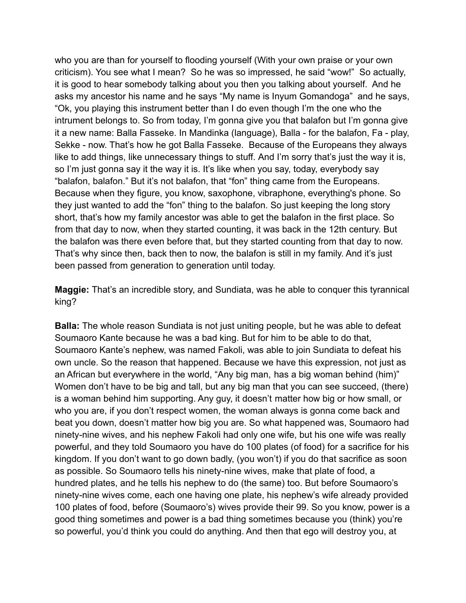who you are than for yourself to flooding yourself (With your own praise or your own criticism). You see what I mean? So he was so impressed, he said "wow!" So actually, it is good to hear somebody talking about you then you talking about yourself. And he asks my ancestor his name and he says "My name is Inyum Gomandoga" and he says, "Ok, you playing this instrument better than I do even though I'm the one who the intrument belongs to. So from today, I'm gonna give you that balafon but I'm gonna give it a new name: Balla Fasseke. In Mandinka (language), Balla - for the balafon, Fa - play, Sekke - now. That's how he got Balla Fasseke. Because of the Europeans they always like to add things, like unnecessary things to stuff. And I'm sorry that's just the way it is, so I'm just gonna say it the way it is. It's like when you say, today, everybody say "balafon, balafon." But it's not balafon, that "fon" thing came from the Europeans. Because when they figure, you know, saxophone, vibraphone, everything's phone. So they just wanted to add the "fon" thing to the balafon. So just keeping the long story short, that's how my family ancestor was able to get the balafon in the first place. So from that day to now, when they started counting, it was back in the 12th century. But the balafon was there even before that, but they started counting from that day to now. That's why since then, back then to now, the balafon is still in my family. And it's just been passed from generation to generation until today.

**Maggie:** That's an incredible story, and Sundiata, was he able to conquer this tyrannical king?

**Balla:** The whole reason Sundiata is not just uniting people, but he was able to defeat Soumaoro Kante because he was a bad king. But for him to be able to do that, Soumaoro Kante's nephew, was named Fakoli, was able to join Sundiata to defeat his own uncle. So the reason that happened. Because we have this expression, not just as an African but everywhere in the world, "Any big man, has a big woman behind (him)" Women don't have to be big and tall, but any big man that you can see succeed, (there) is a woman behind him supporting. Any guy, it doesn't matter how big or how small, or who you are, if you don't respect women, the woman always is gonna come back and beat you down, doesn't matter how big you are. So what happened was, Soumaoro had ninety-nine wives, and his nephew Fakoli had only one wife, but his one wife was really powerful, and they told Soumaoro you have do 100 plates (of food) for a sacrifice for his kingdom. If you don't want to go down badly, (you won't) if you do that sacrifice as soon as possible. So Soumaoro tells his ninety-nine wives, make that plate of food, a hundred plates, and he tells his nephew to do (the same) too. But before Soumaoro's ninety-nine wives come, each one having one plate, his nephew's wife already provided 100 plates of food, before (Soumaoro's) wives provide their 99. So you know, power is a good thing sometimes and power is a bad thing sometimes because you (think) you're so powerful, you'd think you could do anything. And then that ego will destroy you, at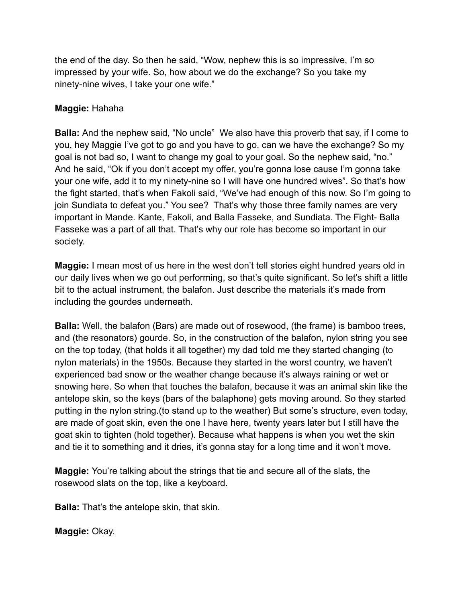the end of the day. So then he said, "Wow, nephew this is so impressive, I'm so impressed by your wife. So, how about we do the exchange? So you take my ninety-nine wives, I take your one wife."

#### **Maggie:** Hahaha

**Balla:** And the nephew said, "No uncle" We also have this proverb that say, if I come to you, hey Maggie I've got to go and you have to go, can we have the exchange? So my goal is not bad so, I want to change my goal to your goal. So the nephew said, "no." And he said, "Ok if you don't accept my offer, you're gonna lose cause I'm gonna take your one wife, add it to my ninety-nine so I will have one hundred wives". So that's how the fight started, that's when Fakoli said, "We've had enough of this now. So I'm going to join Sundiata to defeat you." You see? That's why those three family names are very important in Mande. Kante, Fakoli, and Balla Fasseke, and Sundiata. The Fight- Balla Fasseke was a part of all that. That's why our role has become so important in our society.

**Maggie:** I mean most of us here in the west don't tell stories eight hundred years old in our daily lives when we go out performing, so that's quite significant. So let's shift a little bit to the actual instrument, the balafon. Just describe the materials it's made from including the gourdes underneath.

**Balla:** Well, the balafon (Bars) are made out of rosewood, (the frame) is bamboo trees, and (the resonators) gourde. So, in the construction of the balafon, nylon string you see on the top today, (that holds it all together) my dad told me they started changing (to nylon materials) in the 1950s. Because they started in the worst country, we haven't experienced bad snow or the weather change because it's always raining or wet or snowing here. So when that touches the balafon, because it was an animal skin like the antelope skin, so the keys (bars of the balaphone) gets moving around. So they started putting in the nylon string.(to stand up to the weather) But some's structure, even today, are made of goat skin, even the one I have here, twenty years later but I still have the goat skin to tighten (hold together). Because what happens is when you wet the skin and tie it to something and it dries, it's gonna stay for a long time and it won't move.

**Maggie:** You're talking about the strings that tie and secure all of the slats, the rosewood slats on the top, like a keyboard.

**Balla:** That's the antelope skin, that skin.

**Maggie:** Okay.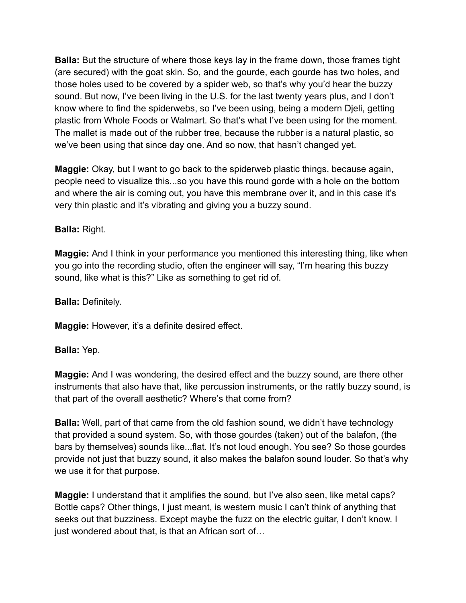**Balla:** But the structure of where those keys lay in the frame down, those frames tight (are secured) with the goat skin. So, and the gourde, each gourde has two holes, and those holes used to be covered by a spider web, so that's why you'd hear the buzzy sound. But now, I've been living in the U.S. for the last twenty years plus, and I don't know where to find the spiderwebs, so I've been using, being a modern Djeli, getting plastic from Whole Foods or Walmart. So that's what I've been using for the moment. The mallet is made out of the rubber tree, because the rubber is a natural plastic, so we've been using that since day one. And so now, that hasn't changed yet.

**Maggie:** Okay, but I want to go back to the spiderweb plastic things, because again, people need to visualize this...so you have this round gorde with a hole on the bottom and where the air is coming out, you have this membrane over it, and in this case it's very thin plastic and it's vibrating and giving you a buzzy sound.

## **Balla:** Right.

**Maggie:** And I think in your performance you mentioned this interesting thing, like when you go into the recording studio, often the engineer will say, "I'm hearing this buzzy sound, like what is this?" Like as something to get rid of.

**Balla:** Definitely.

**Maggie:** However, it's a definite desired effect.

### **Balla:** Yep.

**Maggie:** And I was wondering, the desired effect and the buzzy sound, are there other instruments that also have that, like percussion instruments, or the rattly buzzy sound, is that part of the overall aesthetic? Where's that come from?

**Balla:** Well, part of that came from the old fashion sound, we didn't have technology that provided a sound system. So, with those gourdes (taken) out of the balafon, (the bars by themselves) sounds like...flat. It's not loud enough. You see? So those gourdes provide not just that buzzy sound, it also makes the balafon sound louder. So that's why we use it for that purpose.

**Maggie:** I understand that it amplifies the sound, but I've also seen, like metal caps? Bottle caps? Other things, I just meant, is western music I can't think of anything that seeks out that buzziness. Except maybe the fuzz on the electric guitar, I don't know. I just wondered about that, is that an African sort of…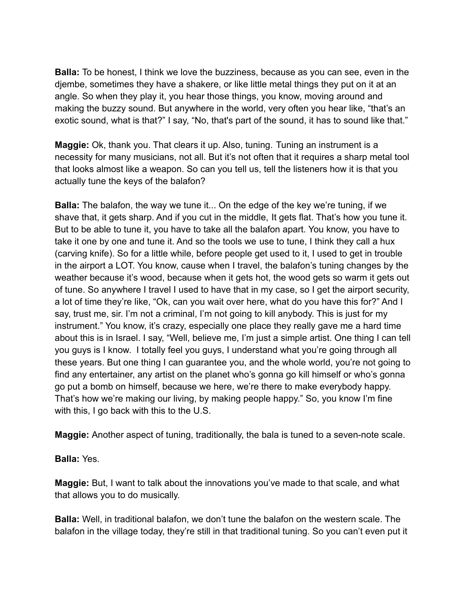**Balla:** To be honest, I think we love the buzziness, because as you can see, even in the djembe, sometimes they have a shakere, or like little metal things they put on it at an angle. So when they play it, you hear those things, you know, moving around and making the buzzy sound. But anywhere in the world, very often you hear like, "that's an exotic sound, what is that?" I say, "No, that's part of the sound, it has to sound like that."

**Maggie:** Ok, thank you. That clears it up. Also, tuning. Tuning an instrument is a necessity for many musicians, not all. But it's not often that it requires a sharp metal tool that looks almost like a weapon. So can you tell us, tell the listeners how it is that you actually tune the keys of the balafon?

**Balla:** The balafon, the way we tune it... On the edge of the key we're tuning, if we shave that, it gets sharp. And if you cut in the middle, It gets flat. That's how you tune it. But to be able to tune it, you have to take all the balafon apart. You know, you have to take it one by one and tune it. And so the tools we use to tune, I think they call a hux (carving knife). So for a little while, before people get used to it, I used to get in trouble in the airport a LOT. You know, cause when I travel, the balafon's tuning changes by the weather because it's wood, because when it gets hot, the wood gets so warm it gets out of tune. So anywhere I travel I used to have that in my case, so I get the airport security, a lot of time they're like, "Ok, can you wait over here, what do you have this for?" And I say, trust me, sir. I'm not a criminal, I'm not going to kill anybody. This is just for my instrument." You know, it's crazy, especially one place they really gave me a hard time about this is in Israel. I say, "Well, believe me, I'm just a simple artist. One thing I can tell you guys is I know. I totally feel you guys, I understand what you're going through all these years. But one thing I can guarantee you, and the whole world, you're not going to find any entertainer, any artist on the planet who's gonna go kill himself or who's gonna go put a bomb on himself, because we here, we're there to make everybody happy. That's how we're making our living, by making people happy." So, you know I'm fine with this, I go back with this to the U.S.

**Maggie:** Another aspect of tuning, traditionally, the bala is tuned to a seven-note scale.

**Balla:** Yes.

**Maggie:** But, I want to talk about the innovations you've made to that scale, and what that allows you to do musically.

**Balla:** Well, in traditional balafon, we don't tune the balafon on the western scale. The balafon in the village today, they're still in that traditional tuning. So you can't even put it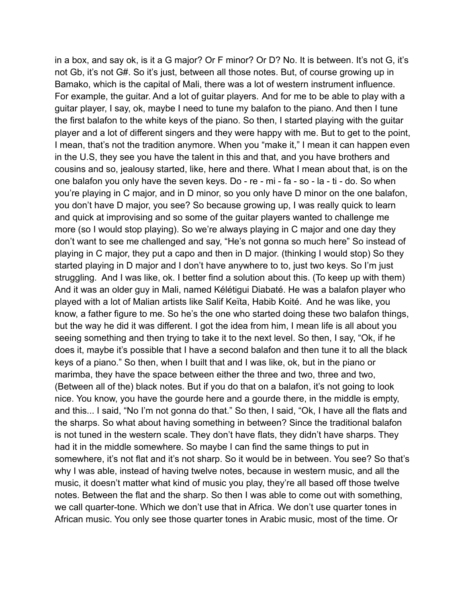in a box, and say ok, is it a G major? Or F minor? Or D? No. It is between. It's not G, it's not Gb, it's not G#. So it's just, between all those notes. But, of course growing up in Bamako, which is the capital of Mali, there was a lot of western instrument influence. For example, the guitar. And a lot of guitar players. And for me to be able to play with a guitar player, I say, ok, maybe I need to tune my balafon to the piano. And then I tune the first balafon to the white keys of the piano. So then, I started playing with the guitar player and a lot of different singers and they were happy with me. But to get to the point, I mean, that's not the tradition anymore. When you "make it," I mean it can happen even in the U.S, they see you have the talent in this and that, and you have brothers and cousins and so, jealousy started, like, here and there. What I mean about that, is on the one balafon you only have the seven keys. Do - re - mi - fa - so - la - ti - do. So when you're playing in C major, and in D minor, so you only have D minor on the one balafon, you don't have D major, you see? So because growing up, I was really quick to learn and quick at improvising and so some of the guitar players wanted to challenge me more (so I would stop playing). So we're always playing in C major and one day they don't want to see me challenged and say, "He's not gonna so much here" So instead of playing in C major, they put a capo and then in D major. (thinking I would stop) So they started playing in D major and I don't have anywhere to to, just two keys. So I'm just struggling. And I was like, ok. I better find a solution about this. (To keep up with them) And it was an older guy in Mali, named Kélétigui Diabaté. He was a balafon player who played with a lot of Malian artists like Salif Keïta, Habib Koité. And he was like, you know, a father figure to me. So he's the one who started doing these two balafon things, but the way he did it was different. I got the idea from him, I mean life is all about you seeing something and then trying to take it to the next level. So then, I say, "Ok, if he does it, maybe it's possible that I have a second balafon and then tune it to all the black keys of a piano." So then, when I built that and I was like, ok, but in the piano or marimba, they have the space between either the three and two, three and two, (Between all of the) black notes. But if you do that on a balafon, it's not going to look nice. You know, you have the gourde here and a gourde there, in the middle is empty, and this... I said, "No I'm not gonna do that." So then, I said, "Ok, I have all the flats and the sharps. So what about having something in between? Since the traditional balafon is not tuned in the western scale. They don't have flats, they didn't have sharps. They had it in the middle somewhere. So maybe I can find the same things to put in somewhere, it's not flat and it's not sharp. So it would be in between. You see? So that's why I was able, instead of having twelve notes, because in western music, and all the music, it doesn't matter what kind of music you play, they're all based off those twelve notes. Between the flat and the sharp. So then I was able to come out with something, we call quarter-tone. Which we don't use that in Africa. We don't use quarter tones in African music. You only see those quarter tones in Arabic music, most of the time. Or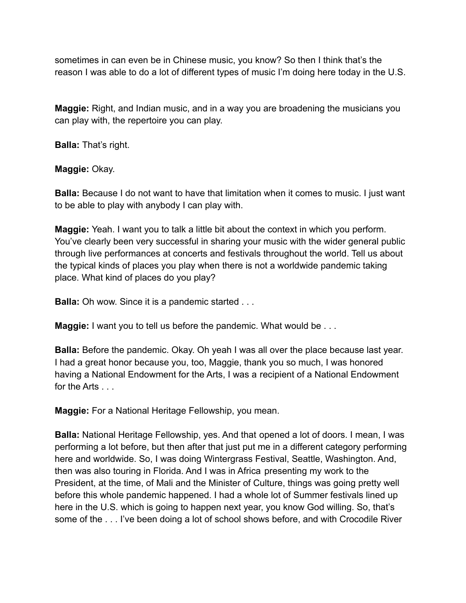sometimes in can even be in Chinese music, you know? So then I think that's the reason I was able to do a lot of different types of music I'm doing here today in the U.S.

**Maggie:** Right, and Indian music, and in a way you are broadening the musicians you can play with, the repertoire you can play.

**Balla:** That's right.

**Maggie:** Okay.

**Balla:** Because I do not want to have that limitation when it comes to music. I just want to be able to play with anybody I can play with.

**Maggie:** Yeah. I want you to talk a little bit about the context in which you perform. You've clearly been very successful in sharing your music with the wider general public through live performances at concerts and festivals throughout the world. Tell us about the typical kinds of places you play when there is not a worldwide pandemic taking place. What kind of places do you play?

**Balla:** Oh wow. Since it is a pandemic started . . .

**Maggie:** I want you to tell us before the pandemic. What would be . . .

**Balla:** Before the pandemic. Okay. Oh yeah I was all over the place because last year. I had a great honor because you, too, Maggie, thank you so much, I was honored having a National Endowment for the Arts, I was a recipient of a National Endowment for the Arts

**Maggie:** For a National Heritage Fellowship, you mean.

**Balla:** National Heritage Fellowship, yes. And that opened a lot of doors. I mean, I was performing a lot before, but then after that just put me in a different category performing here and worldwide. So, I was doing Wintergrass Festival, Seattle, Washington. And, then was also touring in Florida. And I was in Africa presenting my work to the President, at the time, of Mali and the Minister of Culture, things was going pretty well before this whole pandemic happened. I had a whole lot of Summer festivals lined up here in the U.S. which is going to happen next year, you know God willing. So, that's some of the . . . I've been doing a lot of school shows before, and with Crocodile River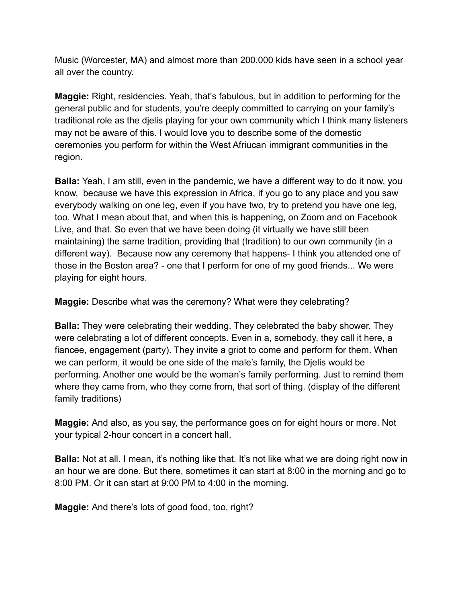Music (Worcester, MA) and almost more than 200,000 kids have seen in a school year all over the country.

**Maggie:** Right, residencies. Yeah, that's fabulous, but in addition to performing for the general public and for students, you're deeply committed to carrying on your family's traditional role as the djelis playing for your own community which I think many listeners may not be aware of this. I would love you to describe some of the domestic ceremonies you perform for within the West Afriucan immigrant communities in the region.

**Balla:** Yeah, I am still, even in the pandemic, we have a different way to do it now, you know, because we have this expression in Africa, if you go to any place and you saw everybody walking on one leg, even if you have two, try to pretend you have one leg, too. What I mean about that, and when this is happening, on Zoom and on Facebook Live, and that. So even that we have been doing (it virtually we have still been maintaining) the same tradition, providing that (tradition) to our own community (in a different way). Because now any ceremony that happens- I think you attended one of those in the Boston area? - one that I perform for one of my good friends... We were playing for eight hours.

**Maggie:** Describe what was the ceremony? What were they celebrating?

**Balla:** They were celebrating their wedding. They celebrated the baby shower. They were celebrating a lot of different concepts. Even in a, somebody, they call it here, a fiancee, engagement (party). They invite a griot to come and perform for them. When we can perform, it would be one side of the male's family, the Djelis would be performing. Another one would be the woman's family performing. Just to remind them where they came from, who they come from, that sort of thing. (display of the different family traditions)

**Maggie:** And also, as you say, the performance goes on for eight hours or more. Not your typical 2-hour concert in a concert hall.

**Balla:** Not at all. I mean, it's nothing like that. It's not like what we are doing right now in an hour we are done. But there, sometimes it can start at 8:00 in the morning and go to 8:00 PM. Or it can start at 9:00 PM to 4:00 in the morning.

**Maggie:** And there's lots of good food, too, right?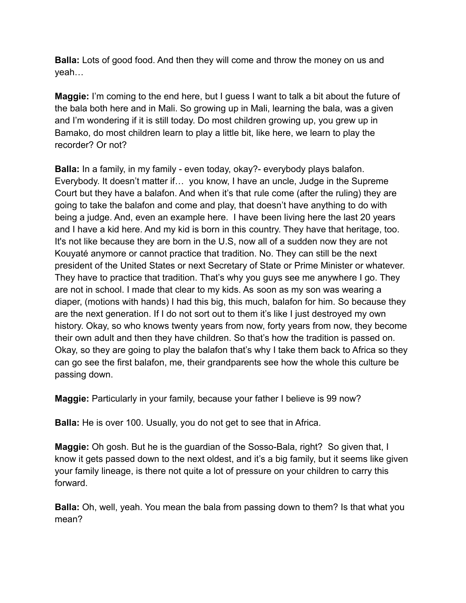**Balla:** Lots of good food. And then they will come and throw the money on us and yeah…

**Maggie:** I'm coming to the end here, but I guess I want to talk a bit about the future of the bala both here and in Mali. So growing up in Mali, learning the bala, was a given and I'm wondering if it is still today. Do most children growing up, you grew up in Bamako, do most children learn to play a little bit, like here, we learn to play the recorder? Or not?

**Balla:** In a family, in my family - even today, okay?- everybody plays balafon. Everybody. It doesn't matter if… you know, I have an uncle, Judge in the Supreme Court but they have a balafon. And when it's that rule come (after the ruling) they are going to take the balafon and come and play, that doesn't have anything to do with being a judge. And, even an example here. I have been living here the last 20 years and I have a kid here. And my kid is born in this country. They have that heritage, too. It's not like because they are born in the U.S, now all of a sudden now they are not Kouyaté anymore or cannot practice that tradition. No. They can still be the next president of the United States or next Secretary of State or Prime Minister or whatever. They have to practice that tradition. That's why you guys see me anywhere I go. They are not in school. I made that clear to my kids. As soon as my son was wearing a diaper, (motions with hands) I had this big, this much, balafon for him. So because they are the next generation. If I do not sort out to them it's like I just destroyed my own history. Okay, so who knows twenty years from now, forty years from now, they become their own adult and then they have children. So that's how the tradition is passed on. Okay, so they are going to play the balafon that's why I take them back to Africa so they can go see the first balafon, me, their grandparents see how the whole this culture be passing down.

**Maggie:** Particularly in your family, because your father I believe is 99 now?

**Balla:** He is over 100. Usually, you do not get to see that in Africa.

**Maggie:** Oh gosh. But he is the guardian of the Sosso-Bala, right? So given that, I know it gets passed down to the next oldest, and it's a big family, but it seems like given your family lineage, is there not quite a lot of pressure on your children to carry this forward.

**Balla:** Oh, well, yeah. You mean the bala from passing down to them? Is that what you mean?